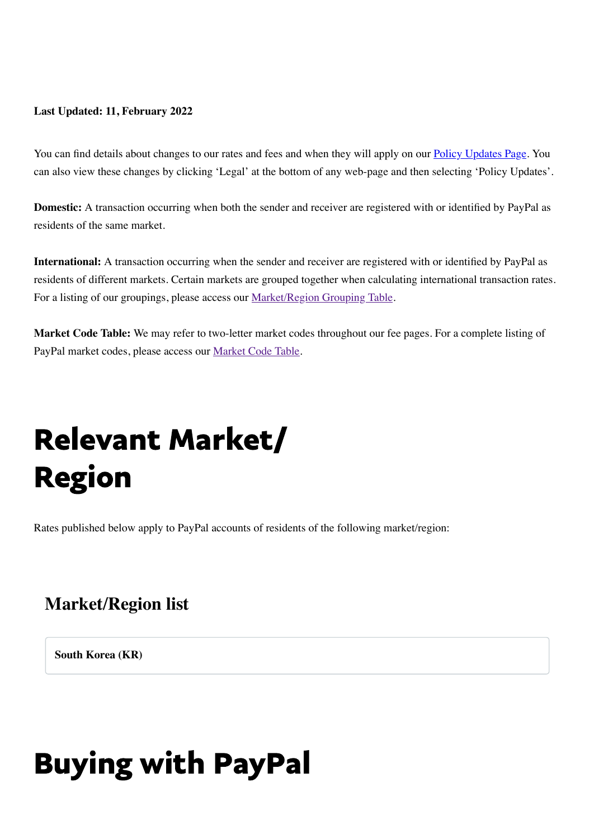#### **Last Updated: 11, February 2022**

You can find details about changes to our rates and fees and when they will apply on our [Policy Updates Page.](https://www.paypal.com/kr/webapps/mpp/ua/upcoming-policies-full?locale.x=en_KR) You can also view these changes by clicking 'Legal' at the bottom of any web-page and then selecting 'Policy Updates'.

<span id="page-0-0"></span>**Domestic:** A transaction occurring when both the sender and receiver are registered with or identified by PayPal as residents of the same market.

**International:** A transaction occurring when the sender and receiver are registered with or identified by PayPal as residents of different markets. Certain markets are grouped together when calculating international transaction rates. For a listing of our groupings, please access our **Market/Region Grouping Table**.

**Market Code Table:** We may refer to two-letter market codes throughout our fee pages. For a complete listing of PayPal market codes, please access our [Market Code Table](#page-0-0).

# Relevant Market/ Region

Rates published below apply to PayPal accounts of residents of the following market/region:

#### **Market/Region list**

**South Korea (KR)**

## Buying with PayPal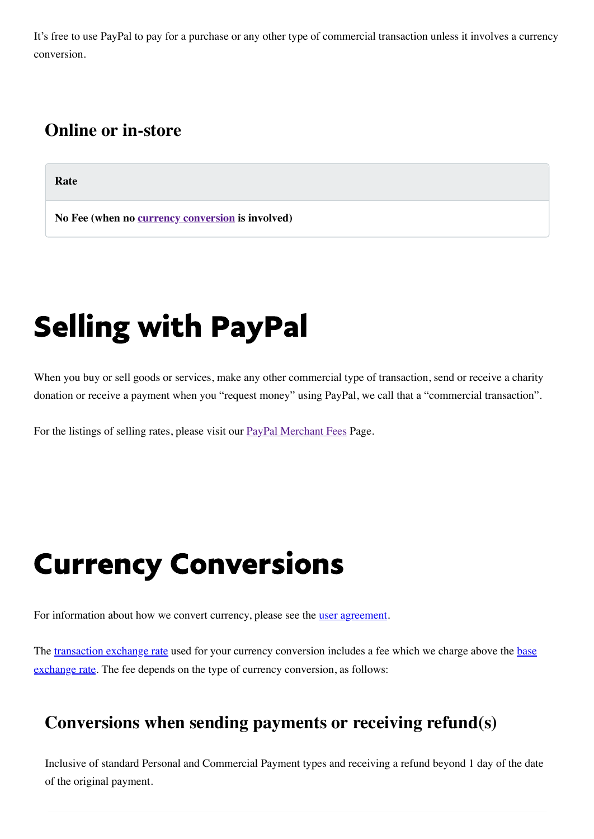It's free to use PayPal to pay for a purchase or any other type of commercial transaction unless it involves a currency conversion.

#### **Online or in-store**

**Rate**

**No Fee (when no [currency conversion](#page-1-0) is involved)**

# Selling with PayPal

When you buy or sell goods or services, make any other commercial type of transaction, send or receive a charity donation or receive a payment when you "request money" using PayPal, we call that a "commercial transaction".

<span id="page-1-0"></span>For the listings of selling rates, please visit our **[PayPal Merchant Fees](https://www.paypal.com/kr/webapps/mpp/merchant-fees?locale.x=en_KR) Page.** 

## Currency Conversions

For information about how we convert currency, please see the [user agreement](https://www.paypal.com/kr/webapps/mpp/ua/useragreement-full?locale.x=en_KR).

[The transaction exchange rate used for your currency conversion includes a fee which we charge above the base](https://www.paypal.com/kr/webapps/mpp/ua/useragreement-full?locale.x=en_kr#currency-conversion1) exchange rate. The fee depends on the type of currency conversion, as follows:

#### <span id="page-1-1"></span>**Conversions when sending payments or receiving refund(s)**

Inclusive of standard Personal and Commercial Payment types and receiving a refund beyond 1 day of the date of the original payment.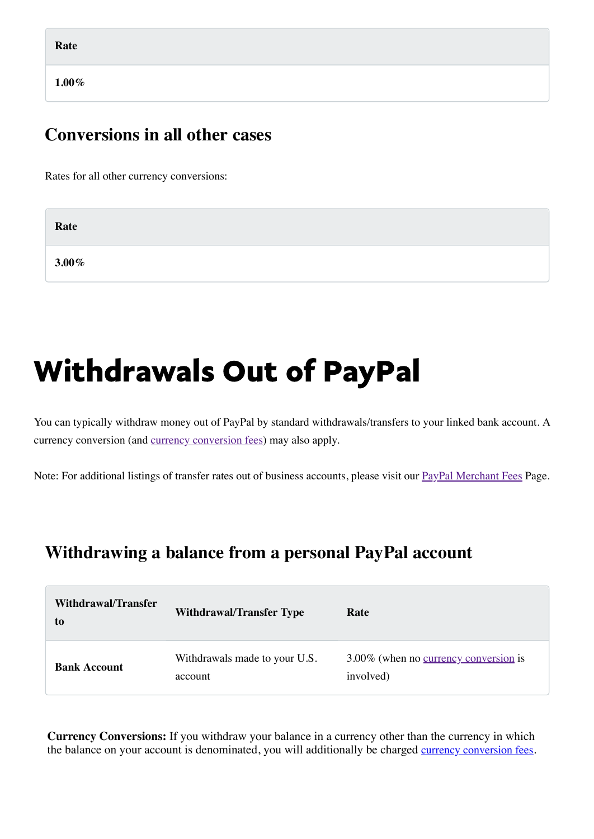**1.00%**

#### **Conversions in all other cases**

Rates for all other currency conversions:

| Rate     |  |  |
|----------|--|--|
| $3.00\%$ |  |  |

### Withdrawals Out of PayPal

You can typically withdraw money out of PayPal by standard withdrawals/transfers to your linked bank account. A currency conversion (and [currency conversion fees\)](#page-1-0) may also apply.

Note: For additional listings of transfer rates out of business accounts, please visit our **[PayPal Merchant Fees](https://www.paypal.com/kr/webapps/mpp/merchant-fees?locale.x=en_KR) Page**.

#### **Withdrawing a balance from a personal PayPal account**

| Withdrawal/Transfer<br>to | <b>Withdrawal/Transfer Type</b>          | Rate                                                      |
|---------------------------|------------------------------------------|-----------------------------------------------------------|
| <b>Bank Account</b>       | Withdrawals made to your U.S.<br>account | 3.00% (when no <u>currency conversion</u> is<br>involved) |

**Currency Conversions:** If you withdraw your balance in a currency other than the currency in which the balance on your account is denominated, you will additionally be charged [currency conversion fees](#page-1-1).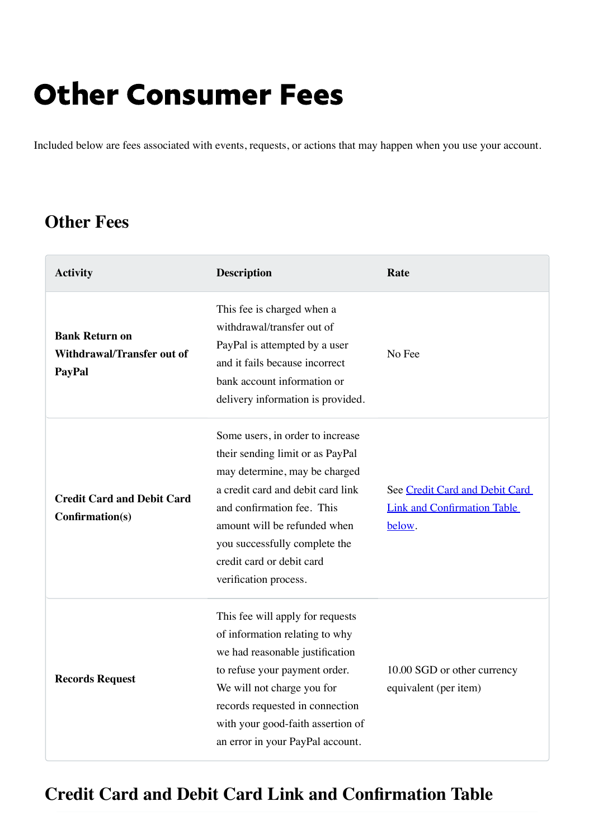### Other Consumer Fees

Included below are fees associated with events, requests, or actions that may happen when you use your account.

#### **Other Fees**

| <b>Activity</b>                                                      | <b>Description</b>                                                                                                                                                                                                                                                                              | Rate                                                                           |
|----------------------------------------------------------------------|-------------------------------------------------------------------------------------------------------------------------------------------------------------------------------------------------------------------------------------------------------------------------------------------------|--------------------------------------------------------------------------------|
| <b>Bank Return on</b><br>Withdrawal/Transfer out of<br><b>PayPal</b> | This fee is charged when a<br>withdrawal/transfer out of<br>PayPal is attempted by a user<br>and it fails because incorrect<br>bank account information or<br>delivery information is provided.                                                                                                 | No Fee                                                                         |
| <b>Credit Card and Debit Card</b><br>Confirmation(s)                 | Some users, in order to increase<br>their sending limit or as PayPal<br>may determine, may be charged<br>a credit card and debit card link<br>and confirmation fee. This<br>amount will be refunded when<br>you successfully complete the<br>credit card or debit card<br>verification process. | See Credit Card and Debit Card<br><b>Link and Confirmation Table</b><br>below. |
| <b>Records Request</b>                                               | This fee will apply for requests<br>of information relating to why<br>we had reasonable justification<br>to refuse your payment order.<br>We will not charge you for<br>records requested in connection<br>with your good-faith assertion of<br>an error in your PayPal account.                | 10.00 SGD or other currency<br>equivalent (per item)                           |

### <span id="page-3-0"></span>**Credit Card and Debit Card Link and Confirmation Table**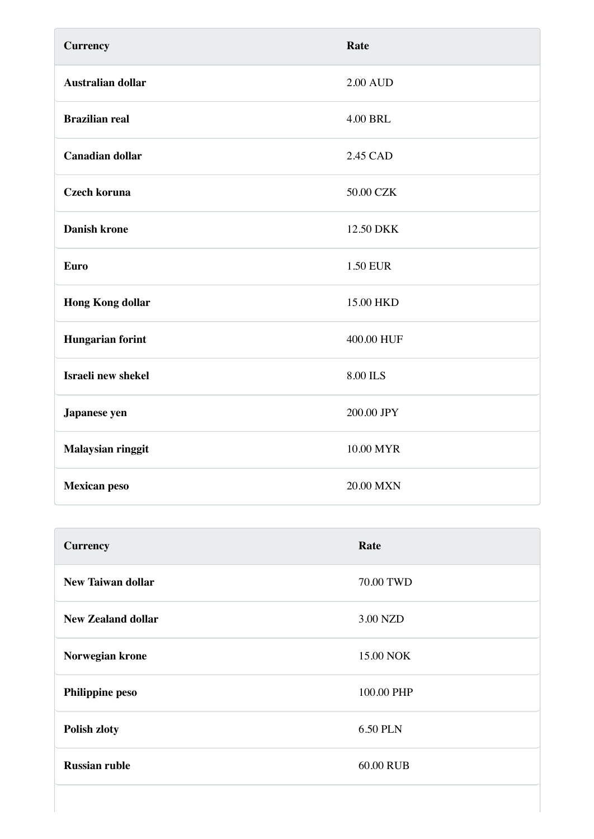| <b>Currency</b>          | Rate            |
|--------------------------|-----------------|
| <b>Australian dollar</b> | <b>2.00 AUD</b> |
| <b>Brazilian real</b>    | <b>4.00 BRL</b> |
| <b>Canadian dollar</b>   | 2.45 CAD        |
| <b>Czech koruna</b>      | 50.00 CZK       |
| <b>Danish krone</b>      | 12.50 DKK       |
| <b>Euro</b>              | <b>1.50 EUR</b> |
| <b>Hong Kong dollar</b>  | 15.00 HKD       |
| <b>Hungarian forint</b>  | 400.00 HUF      |
| Israeli new shekel       | 8.00 ILS        |
| Japanese yen             | 200.00 JPY      |
| Malaysian ringgit        | 10.00 MYR       |
| <b>Mexican peso</b>      | 20.00 MXN       |

| <b>Currency</b>           | Rate            |
|---------------------------|-----------------|
| <b>New Taiwan dollar</b>  | 70.00 TWD       |
| <b>New Zealand dollar</b> | 3.00 NZD        |
| Norwegian krone           | 15.00 NOK       |
| <b>Philippine peso</b>    | 100.00 PHP      |
| <b>Polish zloty</b>       | <b>6.50 PLN</b> |
| <b>Russian ruble</b>      | 60.00 RUB       |
|                           |                 |